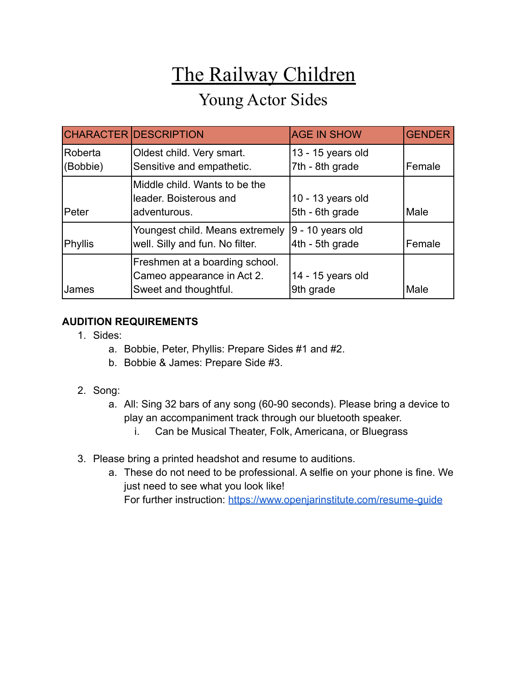# The Railway Children Young Actor Sides

|                     | <b>CHARACTER DESCRIPTION</b>                                                          | <b>AGE IN SHOW</b>                    | <b>GENDER</b> |
|---------------------|---------------------------------------------------------------------------------------|---------------------------------------|---------------|
| Roberta<br>(Bobbie) | Oldest child. Very smart.<br>Sensitive and empathetic.                                | 13 - 15 years old<br>7th - 8th grade  | Female        |
| <b>IPeter</b>       | Middle child. Wants to be the<br>leader. Boisterous and<br>adventurous.               | 10 - 13 years old<br>5th - 6th grade  | Male          |
| Phyllis             | Youngest child. Means extremely<br>well. Silly and fun. No filter.                    | $9 - 10$ years old<br>4th - 5th grade | Female        |
| <b>James</b>        | Freshmen at a boarding school.<br>Cameo appearance in Act 2.<br>Sweet and thoughtful. | 14 - 15 years old<br>9th grade        | Male          |

# **AUDITION REQUIREMENTS**

- 1. Sides:
	- a. Bobbie, Peter, Phyllis: Prepare Sides #1 and #2.
	- b. Bobbie & James: Prepare Side #3.
- 2. Song:
	- a. All: Sing 32 bars of any song (60-90 seconds). Please bring a device to play an accompaniment track through our bluetooth speaker.
		- i. Can be Musical Theater, Folk, Americana, or Bluegrass
- 3. Please bring a printed headshot and resume to auditions.
	- a. These do not need to be professional. A selfie on your phone is fine. We just need to see what you look like! For further instruction: <https://www.openjarinstitute.com/resume-guide>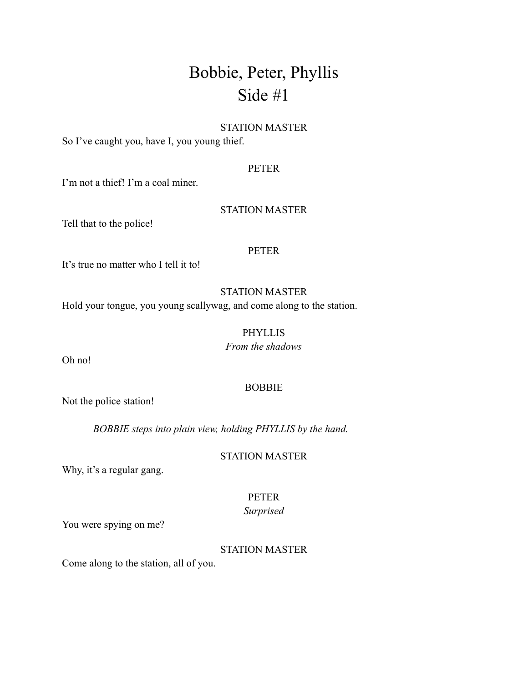# Bobbie, Peter, Phyllis Side #1

# STATION MASTER

So I've caught you, have I, you young thief.

# PETER

I'm not a thief! I'm a coal miner.

### STATION MASTER

Tell that to the police!

### PETER

It's true no matter who I tell it to!

# STATION MASTER

Hold your tongue, you young scallywag, and come along to the station.

# PHYLLIS

*From the shadows*

Oh no!

# BOBBIE

Not the police station!

*BOBBIE steps into plain view, holding PHYLLIS by the hand.*

STATION MASTER

Why, it's a regular gang.

# PETER

# *Surprised*

You were spying on me?

# STATION MASTER

Come along to the station, all of you.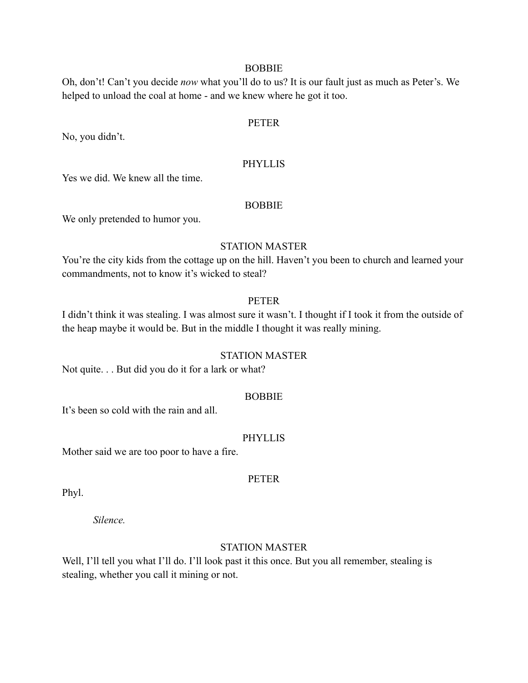### **BOBBIE**

Oh, don't! Can't you decide *now* what you'll do to us? It is our fault just as much as Peter's. We helped to unload the coal at home - and we knew where he got it too.

# PETER

No, you didn't.

### **PHYLLIS**

Yes we did. We knew all the time.

#### **BOBBIE**

We only pretended to humor you.

### STATION MASTER

You're the city kids from the cottage up on the hill. Haven't you been to church and learned your commandments, not to know it's wicked to steal?

### PETER

I didn't think it was stealing. I was almost sure it wasn't. I thought if I took it from the outside of the heap maybe it would be. But in the middle I thought it was really mining.

## STATION MASTER

Not quite. . . But did you do it for a lark or what?

### BOBBIE

It's been so cold with the rain and all.

#### PHYLLIS

Mother said we are too poor to have a fire.

# PETER

Phyl.

*Silence.*

# STATION MASTER

Well, I'll tell you what I'll do. I'll look past it this once. But you all remember, stealing is stealing, whether you call it mining or not.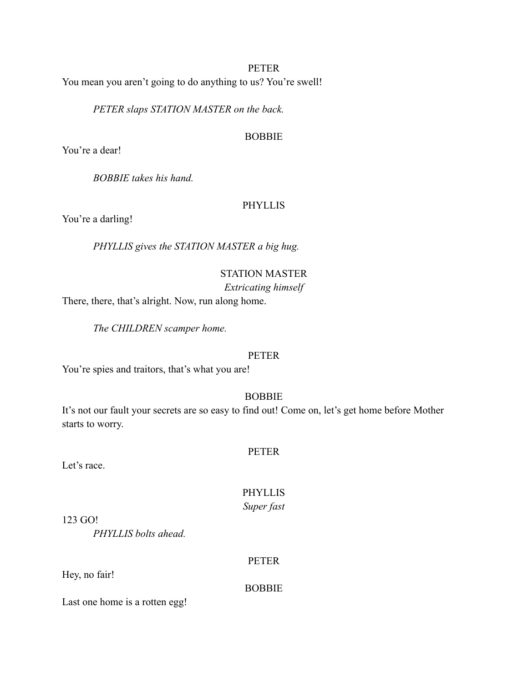## PETER

You mean you aren't going to do anything to us? You're swell!

*PETER slaps STATION MASTER on the back.*

### **BOBBIE**

You're a dear!

*BOBBIE takes his hand.*

## PHYLLIS

You're a darling!

*PHYLLIS gives the STATION MASTER a big hug.*

# STATION MASTER

# *Extricating himself*

There, there, that's alright. Now, run along home.

*The CHILDREN scamper home.*

# PETER

You're spies and traitors, that's what you are!

# BOBBIE

It's not our fault your secrets are so easy to find out! Come on, let's get home before Mother starts to worry.

### PETER

Let's race.

# PHYLLIS

*Super fast*

123 GO!

*PHYLLIS bolts ahead.*

# PETER

Hey, no fair!

BOBBIE

Last one home is a rotten egg!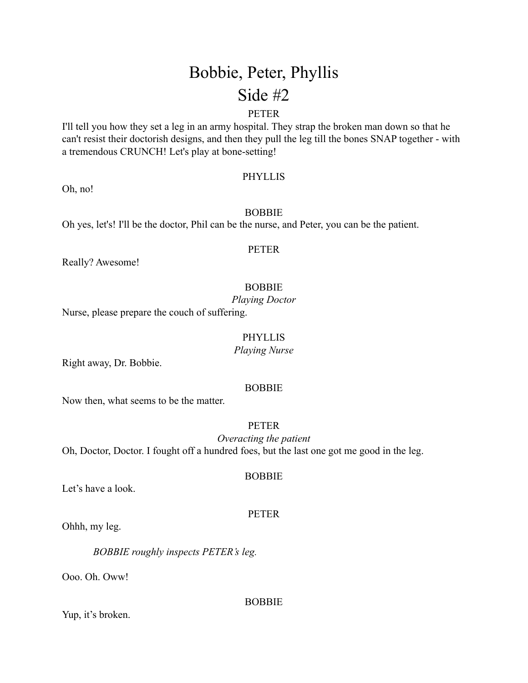# Bobbie, Peter, Phyllis Side #2

# PETER

I'll tell you how they set a leg in an army hospital. They strap the broken man down so that he can't resist their doctorish designs, and then they pull the leg till the bones SNAP together - with a tremendous CRUNCH! Let's play at bone-setting!

### PHYLLIS

Oh, no!

### BOBBIE

Oh yes, let's! I'll be the doctor, Phil can be the nurse, and Peter, you can be the patient.

### PETER

Really? Awesome!

### BOBBIE

*Playing Doctor*

Nurse, please prepare the couch of suffering.

### PHYLLIS

*Playing Nurse*

Right away, Dr. Bobbie.

### BOBBIE

Now then, what seems to be the matter.

### PETER

*Overacting the patient* Oh, Doctor, Doctor. I fought off a hundred foes, but the last one got me good in the leg.

#### **BOBBIE**

Let's have a look.

### PETER

Ohhh, my leg.

*BOBBIE roughly inspects PETER's leg.*

Ooo. Oh. Oww!

### BOBBIE

Yup, it's broken.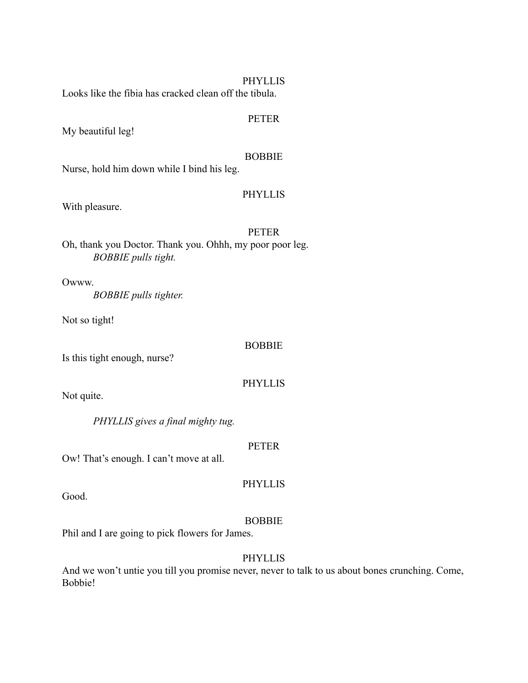### PHYLLIS

Looks like the fibia has cracked clean off the tibula.

### PETER

My beautiful leg!

# BOBBIE

Nurse, hold him down while I bind his leg.

# PHYLLIS

With pleasure.

### PETER

Oh, thank you Doctor. Thank you. Ohhh, my poor poor leg. *BOBBIE pulls tight.*

Owww. *BOBBIE pulls tighter.*

Not so tight!

### BOBBIE

Is this tight enough, nurse?

# PHYLLIS

Not quite.

*PHYLLIS gives a final mighty tug.*

# PETER

Ow! That's enough. I can't move at all.

Good.

# BOBBIE

PHYLLIS

Phil and I are going to pick flowers for James.

# PHYLLIS

And we won't untie you till you promise never, never to talk to us about bones crunching. Come, Bobbie!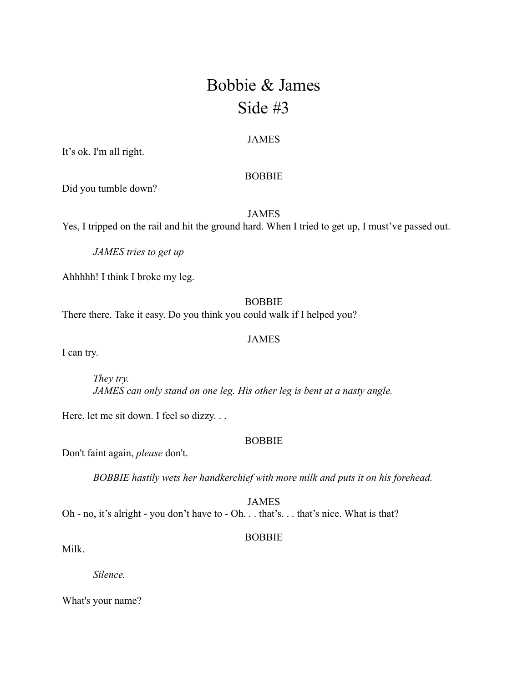# Bobbie & James Side #3

### JAMES

It's ok. I'm all right.

### BOBBIE

Did you tumble down?

JAMES

Yes, I tripped on the rail and hit the ground hard. When I tried to get up, I must've passed out.

*JAMES tries to get up*

Ahhhhh! I think I broke my leg.

# **BOBBIE**

There there. Take it easy. Do you think you could walk if I helped you?

### JAMES

I can try.

*They try. JAMES can only stand on one leg. His other leg is bent at a nasty angle.*

Here, let me sit down. I feel so dizzy. . .

# BOBBIE

Don't faint again, *please* don't.

*BOBBIE hastily wets her handkerchief with more milk and puts it on his forehead.*

JAMES Oh - no, it's alright - you don't have to - Oh. . . that's. . . that's nice. What is that?

### **BOBBIE**

Milk.

*Silence.*

What's your name?